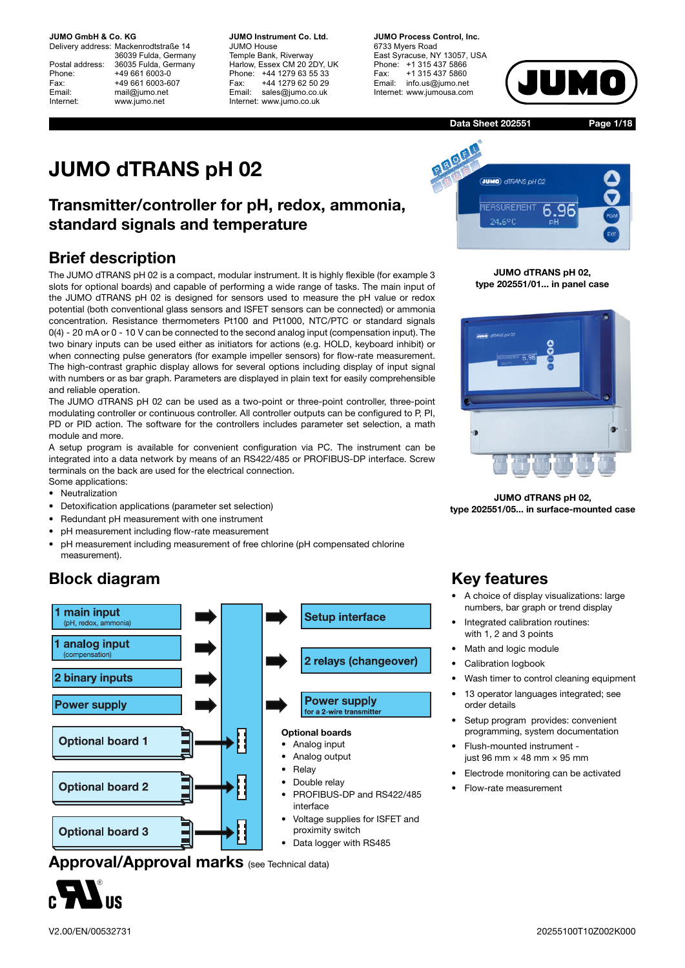Delivery address: Mackenrodtstraße 14 36039 Fulda, Germany Postal address: 36035 Fulda, Germany Phone: +49 661 6003-0 Fax: +49 661 6003-607 Email: mail@jumo.net Internet: www.jumo.net

**JUMO Instrument Co. Ltd.** JUMO House Temple Bank, Riverway Harlow, Essex CM 20 2DY, UK Phone: +44 1279 63 55 33 Fax: +44 1279 62 50 29 Email: sales@jumo.co.uk Internet: www.jumo.co.uk

**JUMO Process Control, Inc.** 6733 Myers Road East Syracuse, NY 13057, USA Phone: +1 315 437 5866 Fax: +1 315 437 5860 Email: info.us@jumo.net Internet: www.jumousa.com



**Data Sheet 202551**

**Page 1/18**

# **JUMO dTRANS pH 02**

## **Transmitter/controller for pH, redox, ammonia, standard signals and temperature**

## **Brief description**

The JUMO dTRANS pH 02 is a compact, modular instrument. It is highly flexible (for example 3 slots for optional boards) and capable of performing a wide range of tasks. The main input of the JUMO dTRANS pH 02 is designed for sensors used to measure the pH value or redox potential (both conventional glass sensors and ISFET sensors can be connected) or ammonia concentration. Resistance thermometers Pt100 and Pt1000, NTC/PTC or standard signals 0(4) - 20 mA or 0 - 10 V can be connected to the second analog input (compensation input). The two binary inputs can be used either as initiators for actions (e.g. HOLD, keyboard inhibit) or when connecting pulse generators (for example impeller sensors) for flow-rate measurement. The high-contrast graphic display allows for several options including display of input signal with numbers or as bar graph. Parameters are displayed in plain text for easily comprehensible and reliable operation.

The JUMO dTRANS pH 02 can be used as a two-point or three-point controller, three-point modulating controller or continuous controller. All controller outputs can be configured to P, PI, PD or PID action. The software for the controllers includes parameter set selection, a math module and more.

A setup program is available for convenient configuration via PC. The instrument can be integrated into a data network by means of an RS422/485 or PROFIBUS-DP interface. Screw terminals on the back are used for the electrical connection.

- Some applications:
- Neutralization
- Detoxification applications (parameter set selection)
- Redundant pH measurement with one instrument
- pH measurement including flow-rate measurement
- pH measurement including measurement of free chlorine (pH compensated chlorine measurement).

## **Block diagram**



**Approval/Approval marks** (see Technical data)



**PIROFIT JUMO** OTRANS OH 02 **IEASUREMENT** 96 б. 94.40f

**JUMO dTRANS pH 02, type 202551/01... in panel case**



**JUMO dTRANS pH 02, type 202551/05... in surface-mounted case**

## **Key features**

- A choice of display visualizations: large numbers, bar graph or trend display
- Integrated calibration routines: with 1, 2 and 3 points
- Math and logic module
- Calibration logbook
- Wash timer to control cleaning equipment
- 13 operator languages integrated; see order details
- Setup program provides: convenient programming, system documentation
- Flush-mounted instrument just 96 mm  $\times$  48 mm  $\times$  95 mm
- Electrode monitoring can be activated
- Flow-rate measurement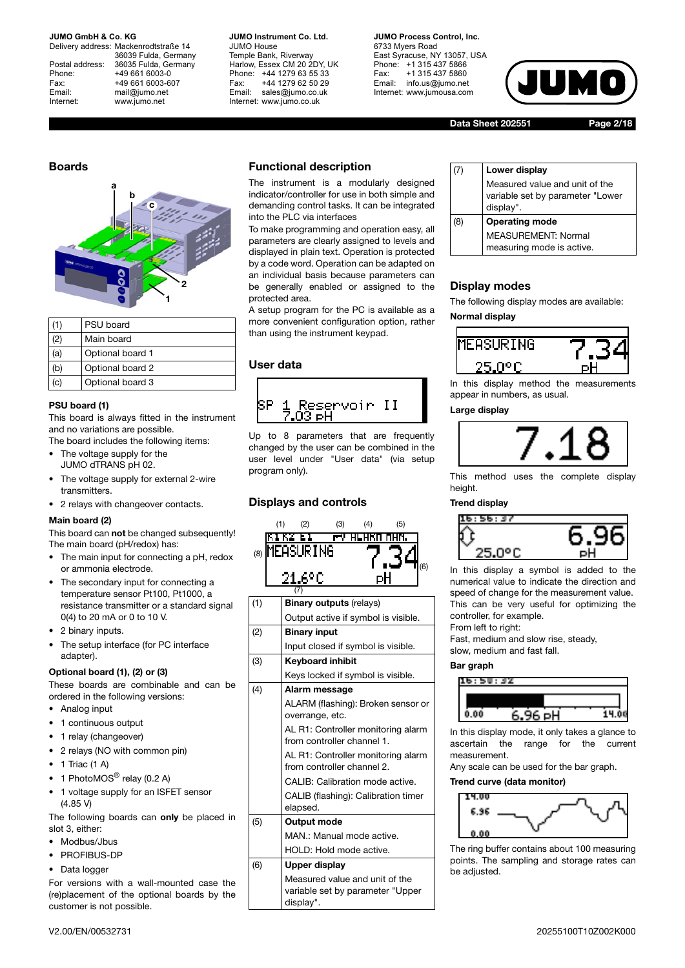Delivery address: Mackenrodtstraße 14 36039 Fulda, Germany Postal address: 36035 Fulda, Germany Phone: +49 661 6003-0 Fax: +49 661 6003-607 Email: mail@jumo.net Internet: www.jumo.net

**JUMO Instrument Co. Ltd.** JUMO House Temple Bank, Riverway Harlow, Essex CM 20 2DY, UK Phone: +44 1279 63 55 33 Fax: +44 1279 62 50 29 Email: sales@jumo.co.uk Internet: www.jumo.co.uk

**JUMO Process Control, Inc.** 6733 Myers Road East Syracuse, NY 13057, USA Phone: +1 315 437 5866 Fax: +1 315 437 5860 Email: info.us@jumo.net Internet: www.jumousa.com



**Data Sheet 202551 Page 2/18**



|     | PSU board        |
|-----|------------------|
| (2) | Main board       |
| (a) | Optional board 1 |
| (b) | Optional board 2 |
|     | Optional board 3 |

#### **PSU board (1)**

This board is always fitted in the instrument and no variations are possible. The board includes the following items:

- The voltage supply for the JUMO dTRANS pH 02.
- The voltage supply for external 2-wire transmitters.
- 2 relays with changeover contacts.

### **Main board (2)**

This board can **not** be changed subsequently! The main board (pH/redox) has:

- The main input for connecting a pH, redox or ammonia electrode.
- The secondary input for connecting a temperature sensor Pt100, Pt1000, a resistance transmitter or a standard signal 0(4) to 20 mA or 0 to 10 V.
- 2 binary inputs.
- The setup interface (for PC interface adapter).

### **Optional board (1), (2) or (3)**

These boards are combinable and can be ordered in the following versions:

- Analog input
- 1 continuous output
- 1 relay (changeover)
- 2 relays (NO with common pin)
- $\bullet$  1 Triac (1 A)
- 1 PhotoMOS<sup>®</sup> relay  $(0.2 \text{ A})$
- 1 voltage supply for an ISFET sensor (4.85 V)

The following boards can **only** be placed in slot 3, either:

- Modbus/Jbus
- PROFIBUS-DP
- Data logger

For versions with a wall-mounted case the (re)placement of the optional boards by the customer is not possible.

## **Functional description**

The instrument is a modularly designed indicator/controller for use in both simple and demanding control tasks. It can be integrated into the PLC via interfaces

To make programming and operation easy, all parameters are clearly assigned to levels and displayed in plain text. Operation is protected by a code word. Operation can be adapted on an individual basis because parameters can be generally enabled or assigned to the protected area.

A setup program for the PC is available as a more convenient configuration option, rather than using the instrument keypad.

## **User data**



Up to 8 parameters that are frequently changed by the user can be combined in the user level under "User data" (via setup program only).

## **Displays and controls**



| 7) | Lower display                                                                   |
|----|---------------------------------------------------------------------------------|
|    | Measured value and unit of the<br>variable set by parameter "Lower<br>display". |
| 8) | <b>Operating mode</b>                                                           |
|    | MEASUREMENT: Normal                                                             |
|    | measuring mode is active.                                                       |

## **Display modes**

The following display modes are available:

**Normal display**



In this display method the measurements appear in numbers, as usual.

#### **Large display**



This method uses the complete display height

#### **Trend display**



In this display a symbol is added to the numerical value to indicate the direction and speed of change for the measurement value. This can be very useful for optimizing the controller, for example.

From left to right:

Fast, medium and slow rise, steady, slow, medium and fast fall.

#### **Bar graph**



In this display mode, it only takes a glance to ascertain the range for the current measurement.

Any scale can be used for the bar graph.

## **Trend curve (data monitor)**



The ring buffer contains about 100 measuring points. The sampling and storage rates can be adjusted.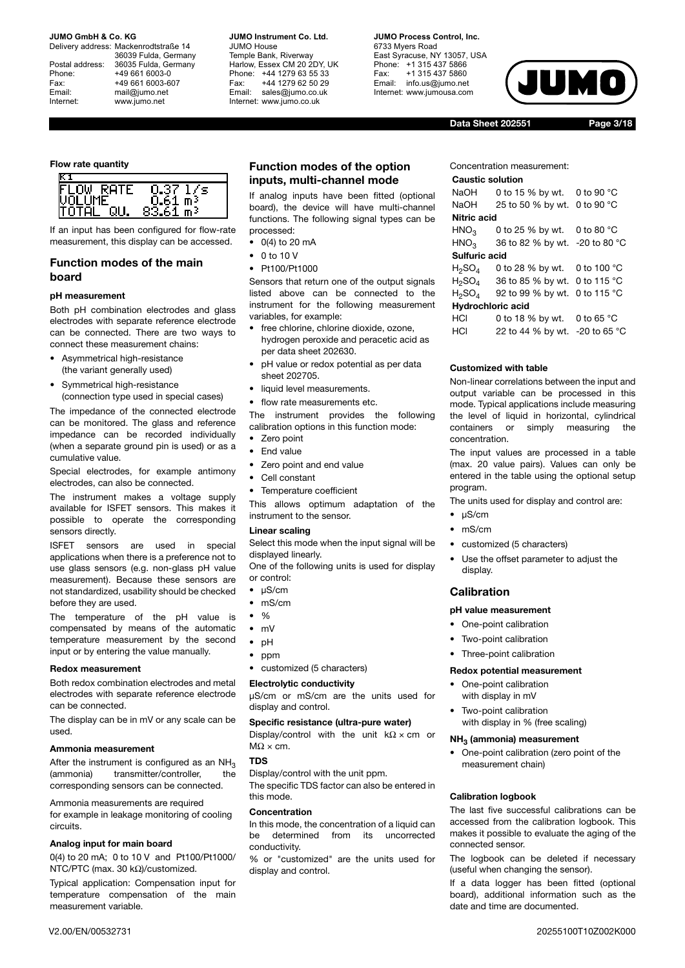Delivery address: Mackenrodtstraße 14 36039 Fulda, Germany Postal address: 36035 Fulda, Germany Phone: +49 661 6003-0 Fax: +49 661 6003-607 Email: mail@jumo.net Internet: www.jumo.net

**JUMO Instrument Co. Ltd.** JUMO House Temple Bank, Riverway Harlow, Essex CM 20 2DY, UK Phone: +44 1279 63 55 33 Fax: +44 1279 62 50 29 Email: sales@jumo.co.uk Internet: www.jumo.co.uk

## **JUMO Process Control, Inc.**

6733 Myers Road East Syracuse, NY 13057, USA Phone: +1 315 437 5866 Fax: +1 315 437 5860 Email: info.us@jumo.net Internet: www.jumousa.com



**Data Sheet 202551 Page 3/18**

#### **Flow rate quantity**



If an input has been configured for flow-rate measurement, this display can be accessed.

### **Function modes of the main board**

#### **pH measurement**

Both pH combination electrodes and glass electrodes with separate reference electrode can be connected. There are two ways to connect these measurement chains:

- Asymmetrical high-resistance (the variant generally used)
- Symmetrical high-resistance (connection type used in special cases)

The impedance of the connected electrode can be monitored. The glass and reference impedance can be recorded individually (when a separate ground pin is used) or as a cumulative value.

Special electrodes, for example antimony electrodes, can also be connected.

The instrument makes a voltage supply available for ISFET sensors. This makes it possible to operate the corresponding sensors directly.

ISFET sensors are used in special applications when there is a preference not to use glass sensors (e.g. non-glass pH value measurement). Because these sensors are not standardized, usability should be checked before they are used.

The temperature of the pH value is compensated by means of the automatic temperature measurement by the second input or by entering the value manually.

#### **Redox measurement**

Both redox combination electrodes and metal electrodes with separate reference electrode can be connected.

The display can be in mV or any scale can be used.

#### **Ammonia measurement**

After the instrument is configured as an  $NH_3$ <br>(ammonia) transmitter/controller, the transmitter/controller, corresponding sensors can be connected.

Ammonia measurements are required for example in leakage monitoring of cooling circuits.

#### **Analog input for main board**

0(4) to 20 mA; 0 to 10 V and Pt100/Pt1000/ NTC/PTC (max. 30 kΩ)/customized.

Typical application: Compensation input for temperature compensation of the main measurement variable.

## **Function modes of the option inputs, multi-channel mode**

If analog inputs have been fitted (optional board), the device will have multi-channel functions. The following signal types can be processed:

- $\bullet$  0(4) to 20 mA
- 0 to 10 V • Pt100/Pt1000

Sensors that return one of the output signals listed above can be connected to the instrument for the following measurement variables, for example:

- free chlorine, chlorine dioxide, ozone, hydrogen peroxide and peracetic acid as per data sheet 202630.
- pH value or redox potential as per data sheet 202705.
- liquid level measurements.

flow rate measurements etc.

The instrument provides the following calibration options in this function mode:

- Zero point
- End value
- Zero point and end value
- Cell constant
- Temperature coefficient

This allows optimum adaptation of the instrument to the sensor.

#### **Linear scaling**

Select this mode when the input signal will be displayed linearly.

One of the following units is used for display or control:

- µS/cm
- mS/cm
- $\bullet$  %
- mV
- pH
- ppm
- customized (5 characters)

## **Electrolytic conductivity**

µS/cm or mS/cm are the units used for display and control.

### **Specific resistance (ultra-pure water)**

Display/control with the unit  $k\Omega \times cm$  or  $M\Omega \times$  cm.

#### **TDS**

Display/control with the unit ppm. The specific TDS factor can also be entered in this mode.

#### **Concentration**

In this mode, the concentration of a liquid can be determined from its uncorrected conductivity.

% or "customized" are the units used for display and control.

Concentration measurement:

#### **Caustic solution**

| NaOH                  | 0 to 15 % by wt. 0 to 90 $^{\circ}$ C |  |
|-----------------------|---------------------------------------|--|
| NaOH                  | 25 to 50 % by wt. 0 to 90 °C          |  |
| Nitric acid           |                                       |  |
| HNO <sub>3</sub>      | 0 to 25 % by wt. 0 to 80 $^{\circ}$ C |  |
| HNO <sub>3</sub>      | 36 to 82 % by wt. -20 to 80 °C        |  |
| Sulfuric acid         |                                       |  |
| H2SO4                 | 0 to 28 % by wt. 0 to 100 °C          |  |
| ${\sf H}_2{\sf SO}_4$ | 36 to 85 % by wt. 0 to 115 °C         |  |
| H2SO4                 | 92 to 99 % by wt. 0 to 115 °C         |  |
| Hydrochloric acid     |                                       |  |
| HCI                   | 0 to 18 % by wt. 0 to 65 °C           |  |

| ושו | U U U U U U U U                |  |
|-----|--------------------------------|--|
| HCI | 22 to 44 % by wt. -20 to 65 °C |  |

#### **Customized with table**

Non-linear correlations between the input and output variable can be processed in this mode. Typical applications include measuring the level of liquid in horizontal, cylindrical containers or simply measuring the concentration.

The input values are processed in a table (max. 20 value pairs). Values can only be entered in the table using the optional setup program.

The units used for display and control are:

- µS/cm
- mS/cm
- customized (5 characters)
- Use the offset parameter to adjust the display.

#### **Calibration**

#### **pH value measurement**

- One-point calibration
- Two-point calibration
- Three-point calibration

#### **Redox potential measurement**

- One-point calibration with display in mV
- Two-point calibration with display in % (free scaling)

#### **NH3 (ammonia) measurement**

• One-point calibration (zero point of the measurement chain)

#### **Calibration logbook**

The last five successful calibrations can be accessed from the calibration logbook. This makes it possible to evaluate the aging of the connected sensor.

The logbook can be deleted if necessary (useful when changing the sensor).

If a data logger has been fitted (optional board), additional information such as the date and time are documented.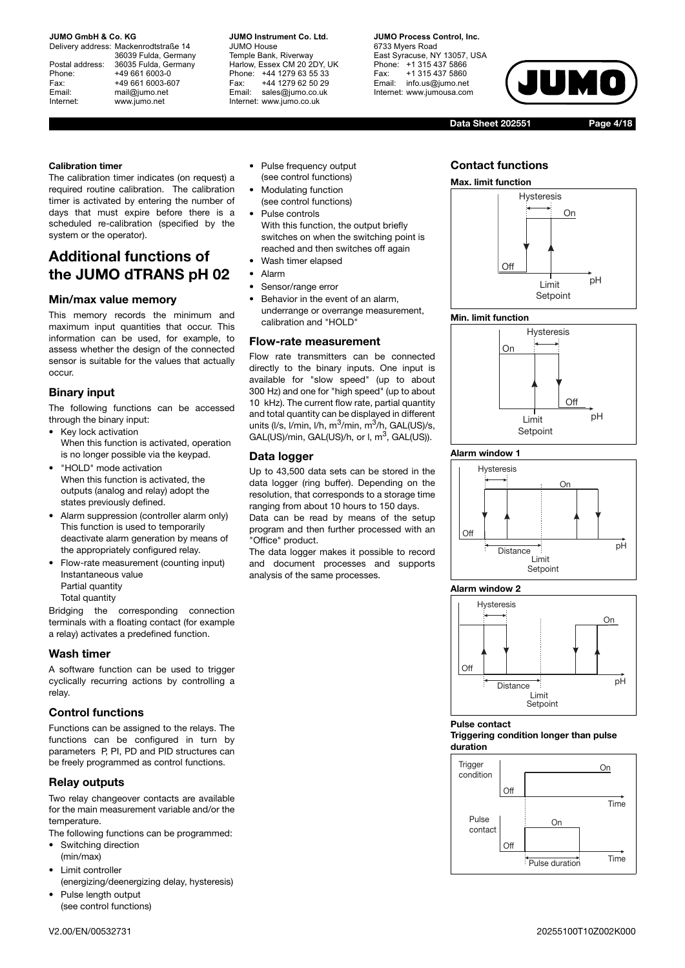Delivery address: Mackenrodtstraße 14 36039 Fulda, Germany Postal address: 36035 Fulda, Germany Phone: +49 661 6003-0 Fax: +49 661 6003-607 Email: mail@jumo.net Internet: www.jumo.net

**JUMO Instrument Co. Ltd.** JUMO House Temple Bank, Riverway Harlow, Essex CM 20 2DY, UK Phone: +44 1279 63 55 33 Fax: +44 1279 62 50 29 Email: sales@jumo.co.uk Internet: www.jumo.co.uk

**JUMO Process Control, Inc.** 6733 Myers Road East Syracuse, NY 13057, USA Phone: +1 315 437 5866 Fax: +1 315 437 5860 Email: info.us@jumo.net Internet: www.jumousa.com

**Data Sheet 202551 Page 4/18**

#### **Calibration timer**

The calibration timer indicates (on request) a required routine calibration. The calibration timer is activated by entering the number of days that must expire before there is a scheduled re-calibration (specified by the system or the operator).

## **Additional functions of the JUMO dTRANS pH 02**

## **Min/max value memory**

This memory records the minimum and maximum input quantities that occur. This information can be used, for example, to assess whether the design of the connected sensor is suitable for the values that actually occur.

## **Binary input**

The following functions can be accessed through the binary input:

- Key lock activation When this function is activated, operation is no longer possible via the keypad.
- "HOLD" mode activation When this function is activated, the outputs (analog and relay) adopt the states previously defined.
- Alarm suppression (controller alarm only) This function is used to temporarily deactivate alarm generation by means of the appropriately configured relay.
- Flow-rate measurement (counting input) Instantaneous value Partial quantity Total quantity

Bridging the corresponding connection terminals with a floating contact (for example a relay) activates a predefined function.

## **Wash timer**

A software function can be used to trigger cyclically recurring actions by controlling a relay.

## **Control functions**

Functions can be assigned to the relays. The functions can be configured in turn by parameters P, PI, PD and PID structures can be freely programmed as control functions.

## **Relay outputs**

Two relay changeover contacts are available for the main measurement variable and/or the temperature.

- The following functions can be programmed:
- Switching direction (min/max)
- Limit controller (energizing/deenergizing delay, hysteresis)
- Pulse length output (see control functions)
- Modulating function (see control functions)
- Pulse controls With this function, the output briefly switches on when the switching point is reached and then switches off again
- Wash timer elapsed
- Alarm
- Sensor/range error
- Behavior in the event of an alarm, underrange or overrange measurement, calibration and "HOLD"

### **Flow-rate measurement**

Flow rate transmitters can be connected directly to the binary inputs. One input is available for "slow speed" (up to about 300 Hz) and one for "high speed" (up to about 10 kHz). The current flow rate, partial quantity and total quantity can be displayed in different units (I/s, I/min, I/h,  $m^3$ /min,  $m^3$ /h, GAL(US)/s, GAL(US)/min, GAL(US)/h, or  $I$ ,  $m^3$ , GAL(US)).

## **Data logger**

Up to 43,500 data sets can be stored in the data logger (ring buffer). Depending on the resolution, that corresponds to a storage time ranging from about 10 hours to 150 days. Data can be read by means of the setup program and then further processed with an "Office" product.

The data logger makes it possible to record and document processes and supports analysis of the same processes.

## **Contact functions**



### **Min. limit function**



### **Alarm window 1**



### **Alarm window 2**



### **Pulse contact**

#### **Triggering condition longer than pulse duration**

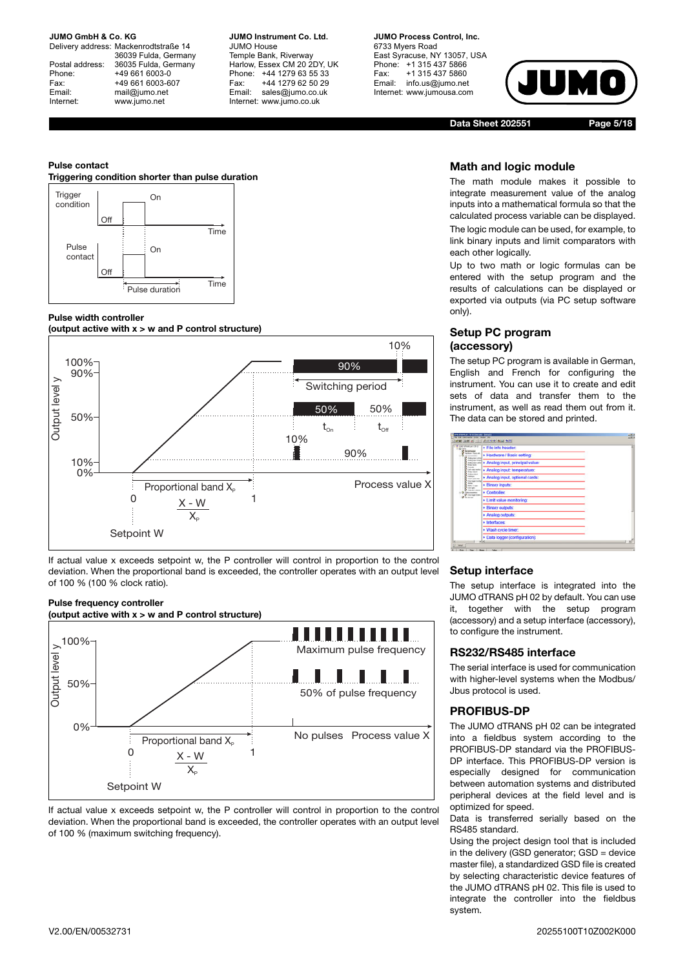Delivery address: Mackenrodtstraße 14 36039 Fulda, Germany Postal address: 36035 Fulda, Germany Phone: +49 661 6003-0 Fax: +49 661 6003-607 Email: mail@jumo.net Internet: www.jumo.net

**JUMO Instrument Co. Ltd.** JUMO House Temple Bank, Riverway Harlow, Essex CM 20 2DY, UK Phone: +44 1279 63 55 33 Fax: +44 1279 62 50 29 Email: sales@jumo.co.uk Internet: www.jumo.co.uk

#### **JUMO Process Control, Inc.** 6733 Myers Road East Syracuse, NY 13057, USA Phone: +1 315 437 5866 Fax: +1 315 437 5860

Email: info.us@jumo.net Internet: www.jumousa.com



**Data Sheet 202551 Page 5/18**

#### **Pulse contact**

#### **Triggering condition shorter than pulse duration**



#### **Pulse width controller**



If actual value x exceeds setpoint w, the P controller will control in proportion to the control deviation. When the proportional band is exceeded, the controller operates with an output level of 100 % (100 % clock ratio).

#### **Pulse frequency controller**

**(output active with x > w and P control structure)**



If actual value x exceeds setpoint w, the P controller will control in proportion to the control deviation. When the proportional band is exceeded, the controller operates with an output level of 100 % (maximum switching frequency).

## **Math and logic module**

The math module makes it possible to integrate measurement value of the analog inputs into a mathematical formula so that the calculated process variable can be displayed. The logic module can be used, for example, to link binary inputs and limit comparators with each other logically.

Up to two math or logic formulas can be entered with the setup program and the results of calculations can be displayed or exported via outputs (via PC setup software only).

## **Setup PC program (accessory)**

The setup PC program is available in German, English and French for configuring the instrument. You can use it to create and edit sets of data and transfer them to the instrument, as well as read them out from it. The data can be stored and printed.

| <b>ART ATANK ART CALLS</b><br>· File info header:                                                               |  |
|-----------------------------------------------------------------------------------------------------------------|--|
| <b>Tachan Tour of</b><br>· Hardware / Basic setting:<br><b>Fall</b> Africa                                      |  |
| <b><i>India bout lines</i></b><br>· Analog input, principal value:<br>Analysis and area<br><b>Stuart starts</b> |  |
| · Analog input: temperature:<br>Link value norths<br><b>Braz</b> salesh                                         |  |
| Andrep material<br>Analog input, optional cards:<br><b>STATE CATE TIME</b><br><b>Delay legale Scotlan</b>       |  |
| <b>· Binary inputs:</b><br><b>Huma</b> Clusters                                                                 |  |
| distant man<br>· Controller:<br>the course.<br><b>Concision Ford</b>                                            |  |
| · Limit value monitoring:                                                                                       |  |
| · Binary outputs:                                                                                               |  |
| Analog outputs:                                                                                                 |  |
| · Interfaces:                                                                                                   |  |
| · Wash cycle timer:                                                                                             |  |
| · Data logger (configuration):<br>ala                                                                           |  |

### **Setup interface**

The setup interface is integrated into the JUMO dTRANS pH 02 by default. You can use it, together with the setup program (accessory) and a setup interface (accessory), to configure the instrument.

## **RS232/RS485 interface**

The serial interface is used for communication with higher-level systems when the Modbus/ Jbus protocol is used.

## **PROFIBUS-DP**

The JUMO dTRANS pH 02 can be integrated into a fieldbus system according to the PROFIBUS-DP standard via the PROFIBUS-DP interface. This PROFIBUS-DP version is especially designed for communication between automation systems and distributed peripheral devices at the field level and is optimized for speed.

Data is transferred serially based on the RS485 standard.

Using the project design tool that is included in the delivery (GSD generator; GSD = device master file), a standardized GSD file is created by selecting characteristic device features of the JUMO dTRANS pH 02. This file is used to integrate the controller into the fieldbus system.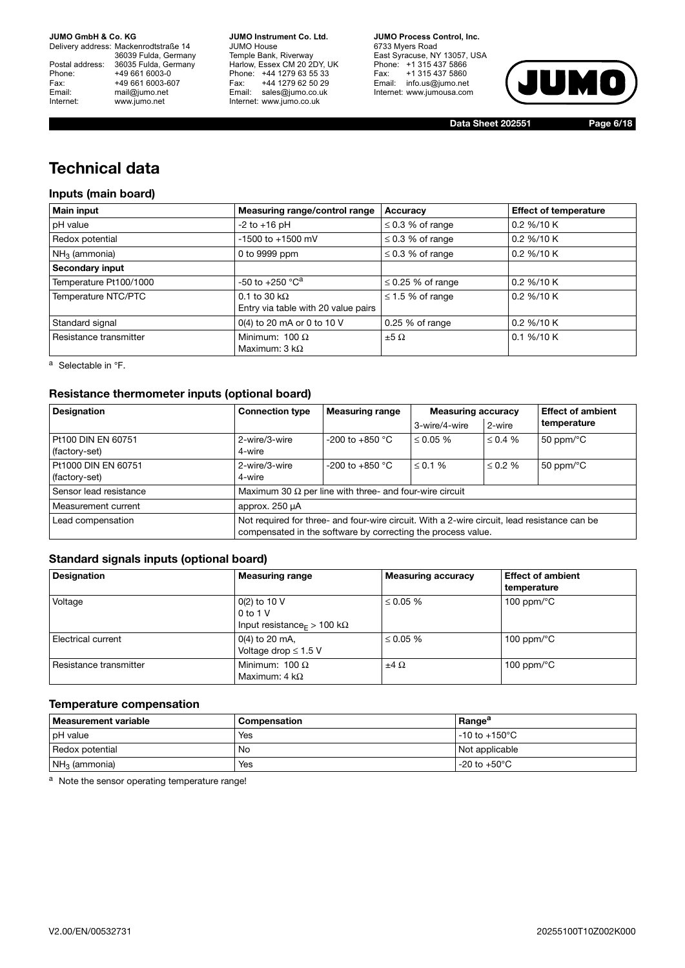Delivery address: Mackenrodtstraße 14 36039 Fulda, Germany Postal address: 36035 Fulda, Germany Phone: +49 661 6003-0<br>
Fax: +49 661 6003-6<br>
Email: mail@jumo.net +49 661 6003-607 mail@jumo.net Internet: www.jumo.net

**JUMO Instrument Co. Ltd.** JUMO House Temple Bank, Riverway Harlow, Essex CM 20 2DY, UK Phone: +44 1279 63 55 33 Fax: +44 1279 62 50 29 Email: sales@jumo.co.uk Internet: www.jumo.co.uk

**JUMO Process Control, Inc.** 6733 Myers Road East Syracuse, NY 13057, USA Phone: +1 315 437 5866 Fax: +1 315 437 5860 Email: info.us@jumo.net Internet: www.jumousa.com



**Data Sheet 202551 Page 6/18**

## **Technical data**

## **Inputs (main board)**

| <b>Main input</b>      | Measuring range/control range                               | Accuracy               | <b>Effect of temperature</b> |
|------------------------|-------------------------------------------------------------|------------------------|------------------------------|
| pH value               | $-2$ to $+16$ pH                                            | $\leq$ 0.3 % of range  | 0.2 %/10 K                   |
| Redox potential        | $-1500$ to $+1500$ mV                                       | $\leq$ 0.3 % of range  | 0.2 %/10 K                   |
| $NH3$ (ammonia)        | 0 to 9999 ppm                                               | $\leq$ 0.3 % of range  | 0.2 %/10 K                   |
| Secondary input        |                                                             |                        |                              |
| Temperature Pt100/1000 | -50 to +250 $^{\circ}$ C <sup>a</sup>                       | $\leq$ 0.25 % of range | 0.2 %/10 K                   |
| Temperature NTC/PTC    | 0.1 to 30 k $\Omega$<br>Entry via table with 20 value pairs | $\leq$ 1.5 % of range  | 0.2 %/10 K                   |
| Standard signal        | 0(4) to 20 mA or 0 to 10 V                                  | 0.25 % of range        | 0.2 %/10 K                   |
| Resistance transmitter | Minimum: $100 \Omega$<br>Maximum: 3 k $\Omega$              | $\pm 5 \Omega$         | $0.1\% / 10K$                |

<sup>a</sup> Selectable in °F.

## **Resistance thermometer inputs (optional board)**

| <b>Designation</b>                   | <b>Connection type</b>                                                                                                                                       | <b>Measuring range</b> | <b>Measuring accuracy</b> |               | <b>Effect of ambient</b>     |
|--------------------------------------|--------------------------------------------------------------------------------------------------------------------------------------------------------------|------------------------|---------------------------|---------------|------------------------------|
|                                      |                                                                                                                                                              |                        | 3-wire/4-wire             | 2-wire        | temperature                  |
| Pt100 DIN EN 60751<br>(factory-set)  | 2-wire/3-wire<br>4-wire                                                                                                                                      | $-200$ to $+850$ °C    | $\leq 0.05 \%$            | $\leq 0.4 \%$ | 50 ppm/ $\degree$ C          |
| Pt1000 DIN EN 60751<br>(factory-set) | 2-wire/3-wire<br>4-wire                                                                                                                                      | $-200$ to $+850$ °C    | $\leq$ 0.1 %              | $\leq 0.2 \%$ | 50 ppm/ $\mathrm{^{\circ}C}$ |
| Sensor lead resistance               | Maximum 30 $\Omega$ per line with three- and four-wire circuit                                                                                               |                        |                           |               |                              |
| Measurement current                  | approx. 250 µA                                                                                                                                               |                        |                           |               |                              |
| Lead compensation                    | Not required for three- and four-wire circuit. With a 2-wire circuit, lead resistance can be<br>compensated in the software by correcting the process value. |                        |                           |               |                              |

## **Standard signals inputs (optional board)**

| <b>Designation</b>     | <b>Measuring range</b>                                                                              | <b>Measuring accuracy</b> | <b>Effect of ambient</b><br>temperature |
|------------------------|-----------------------------------------------------------------------------------------------------|---------------------------|-----------------------------------------|
| Voltage                | $0(2)$ to 10 V<br>$0$ to 1 V<br>Input resistance <sub><math>F &gt; 100 \text{ k}\Omega</math></sub> | $\leq 0.05 \%$            | 100 ppm/ $\degree$ C                    |
| Electrical current     | $0(4)$ to 20 mA,<br>Voltage drop $\leq 1.5$ V                                                       | $\leq 0.05 \%$            | 100 ppm/ $\degree$ C                    |
| Resistance transmitter | Minimum: 100 $\Omega$<br>Maximum: 4 $k\Omega$                                                       | $\pm 4 \Omega$            | 100 ppm/ $\mathrm{^{\circ}C}$           |

## **Temperature compensation**

| <b>Neasurement variable</b> | Compensation | Range <sup>a</sup>        |
|-----------------------------|--------------|---------------------------|
| pH value                    | Yes          | $-10$ to $+150^{\circ}$ C |
| Redox potential             | <b>No</b>    | Not applicable            |
| $NH3$ (ammonia)             | Yes          | $-20$ to $+50^{\circ}$ C  |

a Note the sensor operating temperature range!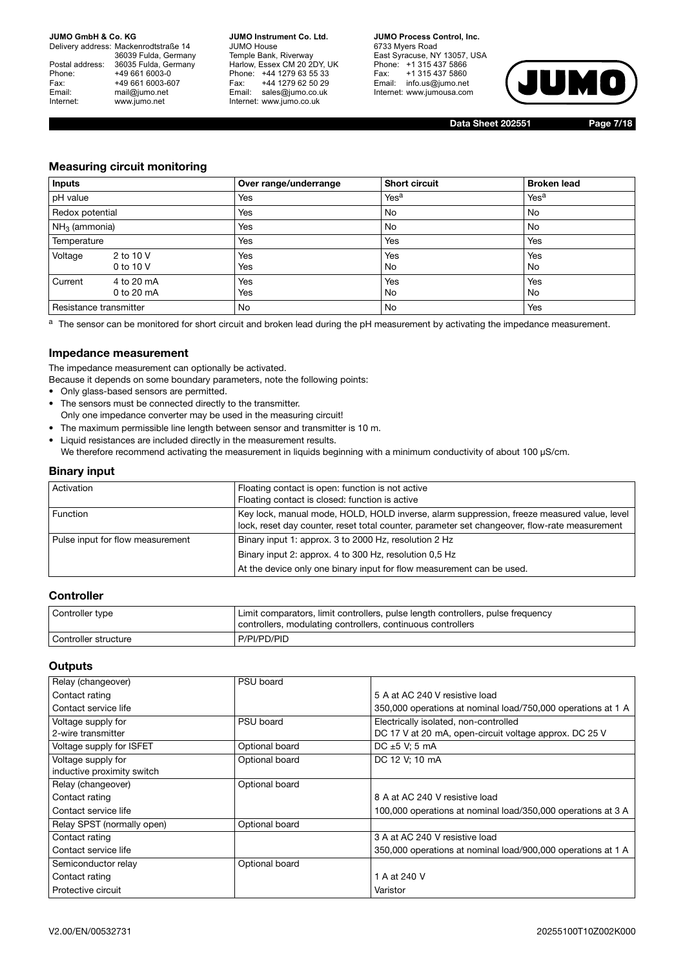Delivery address: Mackenrodtstraße 14 36039 Fulda, Germany Postal address: 36035 Fulda, Germany Phone: +49 661 6003-0<br>
Fax: +49 661 6003-6<br>
Email: mail@jumo.net +49 661 6003-607 mail@jumo.net Internet: www.jumo.net

**JUMO Instrument Co. Ltd.** JUMO House Temple Bank, Riverway Harlow, Essex CM 20 2DY, UK Phone: +44 1279 63 55 33 Fax: +44 1279 62 50 29 Email: sales@jumo.co.uk Internet: www.jumo.co.uk

**JUMO Process Control, Inc.** 6733 Myers Road East Syracuse, NY 13057, USA Phone: +1 315 437 5866 Fax: +1 315 437 5860 Email: info.us@jumo.net Internet: www.jumousa.com



**Data Sheet 202551 Page 7/18**

## **Measuring circuit monitoring**

| Inputs                 |                          | Over range/underrange | <b>Short circuit</b> | <b>Broken lead</b> |
|------------------------|--------------------------|-----------------------|----------------------|--------------------|
| pH value               |                          | Yes                   | Yes <sup>a</sup>     | Yes <sup>a</sup>   |
| Redox potential        |                          | Yes                   | No                   | No                 |
| $NH3$ (ammonia)        |                          | Yes                   | No                   | No                 |
| Temperature            |                          | Yes                   | Yes                  | Yes                |
| Voltage                | 2 to 10 V<br>0 to 10 V   | Yes<br>Yes            | Yes<br>No            | Yes<br>No          |
| Current                | 4 to 20 mA<br>0 to 20 mA | Yes<br>Yes            | Yes<br>No            | Yes<br>No          |
| Resistance transmitter |                          | No                    | No                   | Yes                |

a The sensor can be monitored for short circuit and broken lead during the pH measurement by activating the impedance measurement.

## **Impedance measurement**

The impedance measurement can optionally be activated.

Because it depends on some boundary parameters, note the following points:

- Only glass-based sensors are permitted.
- The sensors must be connected directly to the transmitter.
- Only one impedance converter may be used in the measuring circuit!
- The maximum permissible line length between sensor and transmitter is 10 m.
- Liquid resistances are included directly in the measurement results. We therefore recommend activating the measurement in liquids beginning with a minimum conductivity of about 100 µS/cm.

### **Binary input**

| Activation                       | Floating contact is open: function is not active<br>Floating contact is closed: function is active                                                                                          |
|----------------------------------|---------------------------------------------------------------------------------------------------------------------------------------------------------------------------------------------|
| <b>Function</b>                  | Key lock, manual mode, HOLD, HOLD inverse, alarm suppression, freeze measured value, level<br>lock, reset day counter, reset total counter, parameter set changeover, flow-rate measurement |
| Pulse input for flow measurement | Binary input 1: approx. 3 to 2000 Hz, resolution 2 Hz                                                                                                                                       |
|                                  | Binary input 2: approx. 4 to 300 Hz, resolution 0.5 Hz                                                                                                                                      |
|                                  | At the device only one binary input for flow measurement can be used.                                                                                                                       |

## **Controller**

| Controller type        | Limit comparators, limit controllers, pulse length controllers, pulse frequency<br>controllers, modulating controllers, continuous controllers |
|------------------------|------------------------------------------------------------------------------------------------------------------------------------------------|
| l Controller structure | P/PI/PD/PID                                                                                                                                    |

#### **Outputs**

| Relay (changeover)         | PSU board      |                                                              |
|----------------------------|----------------|--------------------------------------------------------------|
|                            |                |                                                              |
| Contact rating             |                | 5 A at AC 240 V resistive load                               |
| Contact service life       |                | 350,000 operations at nominal load/750,000 operations at 1 A |
| Voltage supply for         | PSU board      | Electrically isolated, non-controlled                        |
| 2-wire transmitter         |                | DC 17 V at 20 mA, open-circuit voltage approx. DC 25 V       |
| Voltage supply for ISFET   | Optional board | DC $\pm 5$ V; 5 mA                                           |
| Voltage supply for         | Optional board | DC 12 V; 10 mA                                               |
| inductive proximity switch |                |                                                              |
| Relay (changeover)         | Optional board |                                                              |
| Contact rating             |                | 8 A at AC 240 V resistive load                               |
| Contact service life       |                | 100,000 operations at nominal load/350,000 operations at 3 A |
| Relay SPST (normally open) | Optional board |                                                              |
| Contact rating             |                | 3 A at AC 240 V resistive load                               |
| Contact service life       |                | 350,000 operations at nominal load/900,000 operations at 1 A |
| Semiconductor relay        | Optional board |                                                              |
| Contact rating             |                | 1 A at 240 V                                                 |
| Protective circuit         |                | Varistor                                                     |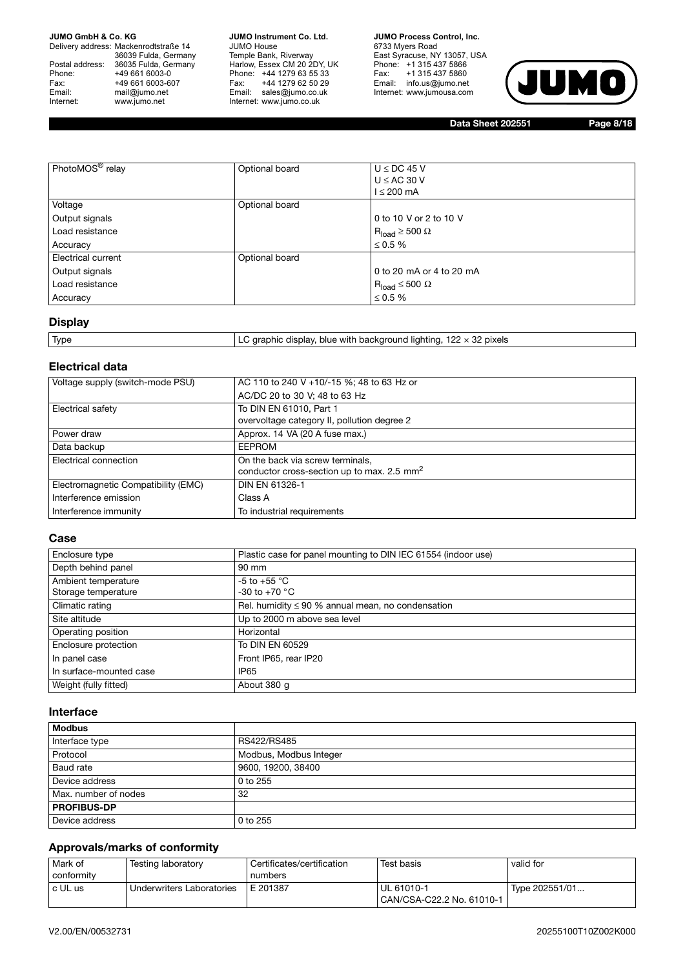Delivery address: Mackenrodtstraße 14 36039 Fulda, Germany Postal address: 36035 Fulda, Germany Postal address: 36035 Fulda, Ge<br>
Phone: +49 661 6003-0<br>
Fax: +49 661 6003-6<br>
Email: mail@jumo.net +49 661 6003-607 mail@jumo.net Internet: www.jumo.net

**JUMO Instrument Co. Ltd.** JUMO House Temple Bank, Riverway Harlow, Essex CM 20 2DY, UK Phone: +44 1279 63 55 33 Fax: +44 1279 62 50 29 Email: sales@jumo.co.uk Internet: www.jumo.co.uk

**JUMO Process Control, Inc.** 6733 Myers Road East Syracuse, NY 13057, USA Phone: +1 315 437 5866 Fax: +1 315 437 5860 Email: info.us@jumo.net Internet: www.jumousa.com



**Data Sheet 202551 Page 8/18**

| PhotoMOS <sup>®</sup> relay | Optional board | $U \le DC$ 45 V<br>$U \le AC$ 30 V<br>$l \leq 200$ mA |
|-----------------------------|----------------|-------------------------------------------------------|
| Voltage                     | Optional board |                                                       |
| Output signals              |                | 0 to 10 V or 2 to 10 V                                |
| Load resistance             |                | $R_{load} \ge 500 \Omega$                             |
| Accuracy                    |                | $\leq$ 0.5 %                                          |
| <b>Electrical current</b>   | Optional board |                                                       |
| Output signals              |                | 0 to 20 mA or 4 to 20 mA                              |
| Load resistance             |                | $R_{load} \leq 500 \Omega$                            |
| Accuracy                    |                | $\leq$ 0.5 %                                          |

## **Display**

| Type | ) graphic display, blue with background lighting, 122 $\times$ 32 pixels<br>. |
|------|-------------------------------------------------------------------------------|
|      |                                                                               |

## **Electrical data**

| Voltage supply (switch-mode PSU)    | AC 110 to 240 V +10/-15 %; 48 to 63 Hz or    |
|-------------------------------------|----------------------------------------------|
|                                     | AC/DC 20 to 30 V; 48 to 63 Hz                |
| Electrical safety                   | To DIN EN 61010, Part 1                      |
|                                     | overvoltage category II, pollution degree 2  |
| Power draw                          | Approx. 14 VA (20 A fuse max.)               |
| Data backup                         | <b>EEPROM</b>                                |
| Electrical connection               | On the back via screw terminals,             |
|                                     | conductor cross-section up to max. 2.5 $mm2$ |
| Electromagnetic Compatibility (EMC) | DIN EN 61326-1                               |
| Interference emission               | Class A                                      |
| Interference immunity               | To industrial requirements                   |

### **Case**

| Enclosure type          | Plastic case for panel mounting to DIN IEC 61554 (indoor use) |
|-------------------------|---------------------------------------------------------------|
| Depth behind panel      | 90 mm                                                         |
| Ambient temperature     | -5 to +55 $^{\circ}$ C                                        |
| Storage temperature     | -30 to +70 $^{\circ}$ C                                       |
| Climatic rating         | Rel. humidity $\leq 90$ % annual mean, no condensation        |
| Site altitude           | Up to 2000 m above sea level                                  |
| Operating position      | Horizontal                                                    |
| Enclosure protection    | To DIN EN 60529                                               |
| In panel case           | Front IP65, rear IP20                                         |
| In surface-mounted case | IP <sub>65</sub>                                              |
| Weight (fully fitted)   | About 380 g                                                   |

### **Interface**

| <b>Modbus</b>        |                        |
|----------------------|------------------------|
| Interface type       | RS422/RS485            |
| Protocol             | Modbus, Modbus Integer |
| Baud rate            | 9600, 19200, 38400     |
| Device address       | $0$ to 255             |
| Max, number of nodes | 32                     |
| <b>PROFIBUS-DP</b>   |                        |
| Device address       | 0 to 255               |

## **Approvals/marks of conformity**

| Mark of<br>conformity | Testing laboratory        | Certificates/certification<br>numbers | Test basis                              | valid for      |
|-----------------------|---------------------------|---------------------------------------|-----------------------------------------|----------------|
| c UL us               | Underwriters Laboratories | l E 201387                            | UL 61010-1<br>CAN/CSA-C22.2 No. 61010-1 | Type 202551/01 |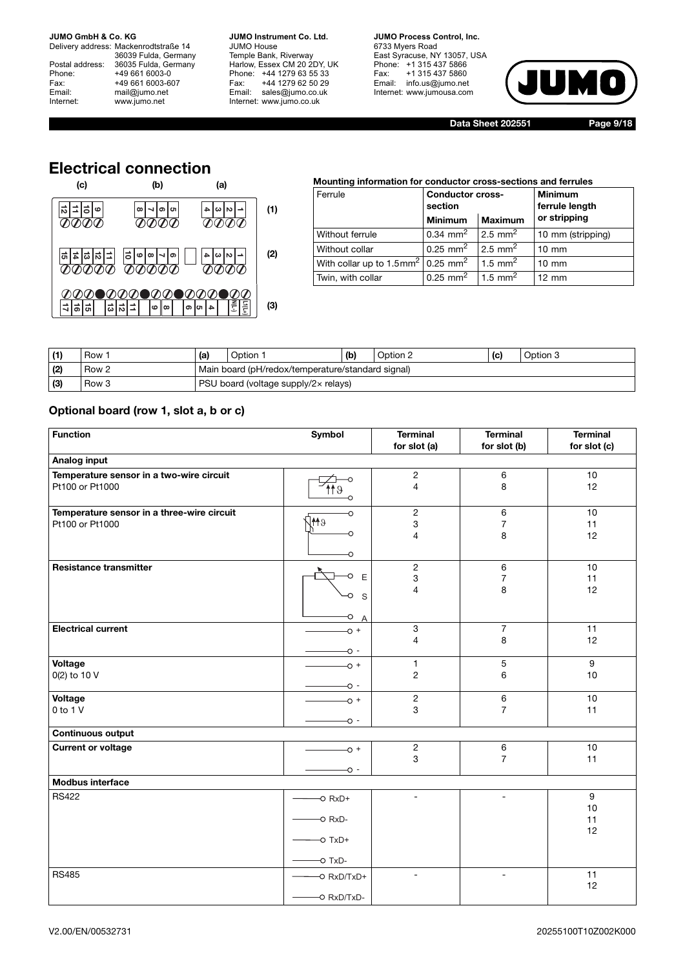Delivery address: Mackenrodtstraße 14 36039 Fulda, Germany Postal address: 36035 Fulda, Germany Postal address: 36035 Fulda, Ge<br>
Phone: +49 661 6003-0<br>
Fax: +49 661 6003-6<br>
Email: mail@jumo.net +49 661 6003-607 mail@jumo.net Internet: www.jumo.net

**JUMO Instrument Co. Ltd.** JUMO House Temple Bank, Riverway Harlow, Essex CM 20 2DY, UK Phone: +44 1279 63 55 33 Fax: +44 1279 62 50 29 Email: sales@jumo.co.uk Internet: www.jumo.co.uk

**JUMO Process Control, Inc.** 6733 Myers Road East Syracuse, NY 13057, USA Phone: +1 315 437 5866 Fax: +1 315 437 5860 Email: info.us@jumo.net Internet: www.jumousa.com



**Data Sheet 202551 Page 9/18**

## **Electrical connection**



## **Mounting information for conductor cross-sections and ferrules**

| Ferrule                                                      | <b>Conductor cross-</b><br>section           |                    | <b>Minimum</b><br>ferrule length |  |
|--------------------------------------------------------------|----------------------------------------------|--------------------|----------------------------------|--|
|                                                              | <b>Minimum</b>                               | <b>Maximum</b>     | or stripping                     |  |
| Without ferrule                                              | $0.34 \, \text{mm}^2$                        | $2.5 \text{ mm}^2$ | 10 mm (stripping)                |  |
| Without collar                                               | 0.25 mm <sup>2</sup> 2.5 mm <sup>2</sup>     |                    | $10 \text{ mm}$                  |  |
| With collar up to $1.5$ mm <sup>2</sup> 0.25 mm <sup>2</sup> |                                              | $1.5 \text{ mm}^2$ | $10 \text{ mm}$                  |  |
| Twin, with collar                                            | $0.25$ mm <sup>2</sup>   1.5 mm <sup>2</sup> |                    | $12 \text{ mm}$                  |  |

| (1) | Row              | (a)                                               | Option | (b) | Option 2 | (C) | Option 3 |
|-----|------------------|---------------------------------------------------|--------|-----|----------|-----|----------|
| (2) | Row 2            | Main board (pH/redox/temperature/standard signal) |        |     |          |     |          |
| (3) | Row <sub>3</sub> | PSU board (voltage supply/2x relays)              |        |     |          |     |          |

## **Optional board (row 1, slot a, b or c)**

| <b>Function</b>                                               | Symbol                                                                              | <b>Terminal</b><br>for slot (a)                  | <b>Terminal</b><br>for slot (b) | <b>Terminal</b><br>for slot (c) |
|---------------------------------------------------------------|-------------------------------------------------------------------------------------|--------------------------------------------------|---------------------------------|---------------------------------|
| <b>Analog input</b>                                           |                                                                                     |                                                  |                                 |                                 |
| Temperature sensor in a two-wire circuit<br>Pt100 or Pt1000   | 119                                                                                 | $\sqrt{2}$<br>$\overline{4}$                     | 6<br>8                          | 10<br>12                        |
| Temperature sensor in a three-wire circuit<br>Pt100 or Pt1000 | $\circ$<br>eMC<br>◠<br>O                                                            | $\sqrt{2}$<br>3<br>4                             | 6<br>$\overline{7}$<br>8        | 10<br>11<br>12                  |
| <b>Resistance transmitter</b>                                 | $\mathsf E$<br>O<br>S<br>O<br>O<br>A                                                | $\overline{c}$<br>$\ensuremath{\mathsf{3}}$<br>4 | 6<br>7<br>8                     | 10<br>11<br>12                  |
| <b>Electrical current</b>                                     | $+$ 0-<br>$\sim$ 0-                                                                 | $\mathbf 3$<br>$\overline{4}$                    | $\overline{7}$<br>8             | 11<br>12                        |
| Voltage<br>0(2) to 10 V                                       | $-0+$<br>- O-                                                                       | $\mathbf{1}$<br>$\mathbf{2}$                     | 5<br>6                          | 9<br>10                         |
| Voltage<br>0 to 1 V                                           | $-0$ +<br>- O-                                                                      | $\sqrt{2}$<br>3                                  | 6<br>$\overline{7}$             | 10<br>11                        |
| <b>Continuous output</b>                                      |                                                                                     |                                                  |                                 |                                 |
| <b>Current or voltage</b>                                     | $\sim$ +<br>- O-                                                                    | $\sqrt{2}$<br>3                                  | 6<br>$\overline{7}$             | 10<br>11                        |
| <b>Modbus interface</b>                                       |                                                                                     |                                                  |                                 |                                 |
| <b>RS422</b>                                                  | $\overline{\phantom{a}}$ O RxD+<br>$-O$ RxD-<br>$-O$ TxD+<br>$\overline{\sim}$ TxD- | $\overline{\phantom{m}}$                         | $\blacksquare$                  | 9<br>10<br>11<br>12             |
| <b>RS485</b>                                                  | -O RxD/TxD+<br>-O RxD/TxD-                                                          | $\overline{\phantom{a}}$                         | $\blacksquare$                  | 11<br>12                        |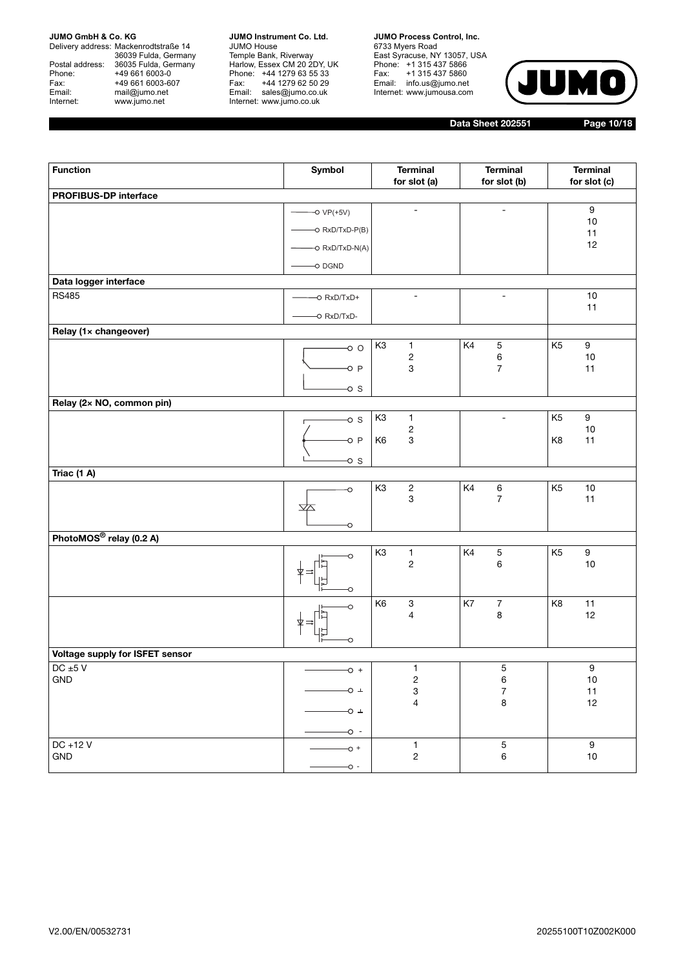Delivery address: Mackenrodtstraße 14 36039 Fulda, Germany Postal address: 36035 Fulda, Germany Phone: +49 661 6003-0<br>
Fax: +49 661 6003-6<br>
Email: mail@jumo.net +49 661 6003-607 mail@jumo.net Internet: www.jumo.net

**JUMO Instrument Co. Ltd.** JUMO House Temple Bank, Riverway Harlow, Essex CM 20 2DY, UK Phone: +44 1279 63 55 33 Fax: +44 1279 62 50 29 Email: sales@jumo.co.uk Internet: www.jumo.co.uk

**JUMO Process Control, Inc.** 6733 Myers Road East Syracuse, NY 13057, USA Phone: +1 315 437 5866 Fax: +1 315 437 5860 Email: info.us@jumo.net Internet: www.jumousa.com



**Data Sheet 202551 Page 10/18**

| <b>Function</b>                 | Symbol                     | <b>Terminal</b><br>for slot (a)                  | <b>Terminal</b><br>for slot (b)   | <b>Terminal</b><br>for slot (c)    |
|---------------------------------|----------------------------|--------------------------------------------------|-----------------------------------|------------------------------------|
| PROFIBUS-DP interface           |                            |                                                  |                                   |                                    |
|                                 | $-O VP(+5V)$               | $\overline{\phantom{a}}$                         | ÷                                 | $\boldsymbol{9}$                   |
|                                 | O RxD/TxD-P(B)             |                                                  |                                   | $10$<br>11                         |
|                                 | -O RxD/TxD-N(A)            |                                                  |                                   | 12                                 |
|                                 | O DGND                     |                                                  |                                   |                                    |
| Data logger interface           |                            |                                                  |                                   |                                    |
| <b>RS485</b>                    | -O RxD/TxD+                | $\overline{\phantom{a}}$                         | $\overline{\phantom{0}}$          | $10$                               |
|                                 | -O RxD/TxD-                |                                                  |                                   | 11                                 |
| Relay (1x changeover)           |                            |                                                  |                                   |                                    |
|                                 | $\circ$ $\circ$            | K <sub>3</sub><br>$\mathbf{1}$                   | K4<br>$\mathbf 5$                 | K <sub>5</sub><br>$\boldsymbol{9}$ |
|                                 | $-0$ P                     | $\sqrt{2}$<br>3                                  | $\,6$<br>$\overline{7}$           | $10\,$<br>11                       |
|                                 |                            |                                                  |                                   |                                    |
| Relay (2x NO, common pin)       | $\overline{\circ}$ s       |                                                  |                                   |                                    |
|                                 | $\overline{\circ}$ s       | K <sub>3</sub><br>$\mathbf{1}$                   | ä,                                | K <sub>5</sub><br>$\boldsymbol{9}$ |
|                                 |                            | $\overline{\mathbf{c}}$                          |                                   | 10                                 |
|                                 | $\overline{\circ}$ P       | $\ensuremath{\mathsf{3}}$<br>K <sub>6</sub>      |                                   | 11<br>K8                           |
|                                 | $\circ$ s                  |                                                  |                                   |                                    |
| Triac (1 A)                     |                            |                                                  |                                   |                                    |
|                                 | O                          | K <sub>3</sub><br>$\sqrt{2}$<br>3                | $\,6\,$<br>K4<br>$\boldsymbol{7}$ | K <sub>5</sub><br>$10$<br>11       |
|                                 | $\bigtriangledown$         |                                                  |                                   |                                    |
|                                 | O                          |                                                  |                                   |                                    |
| PhotoMOS® relay (0.2 A)         |                            |                                                  |                                   |                                    |
|                                 | O                          | K <sub>3</sub><br>1<br>$\mathbf 2$               | K4<br>$\mathbf 5$<br>6            | K <sub>5</sub><br>9<br>$10$        |
|                                 |                            |                                                  |                                   |                                    |
|                                 | O                          |                                                  |                                   |                                    |
|                                 | O                          | K <sub>6</sub><br>$\ensuremath{\mathsf{3}}$<br>4 | K7<br>$\boldsymbol{7}$<br>8       | K <sub>8</sub><br>11<br>12         |
|                                 |                            |                                                  |                                   |                                    |
|                                 | O                          |                                                  |                                   |                                    |
| Voltage supply for ISFET sensor |                            |                                                  |                                   |                                    |
| DC $\pm 5$ V<br>GND             | $+$ O                      | 1<br>$\sqrt{2}$                                  | $\mathbf 5$<br>6                  | $\boldsymbol{9}$<br>$10$           |
|                                 | OT                         | 3                                                | $\boldsymbol{7}$                  | $11$                               |
|                                 | O +                        | 4                                                | $\bf8$                            | 12                                 |
|                                 |                            |                                                  |                                   |                                    |
| DC +12 V                        | $\sim$ -                   | $\mathbf{1}$                                     | $\mathbf 5$                       | $\boldsymbol{9}$                   |
| GND                             | $-0 +$                     | $\overline{c}$                                   | $\,6\,$                           | $10\,$                             |
|                                 | $\overline{\phantom{0}}$ - |                                                  |                                   |                                    |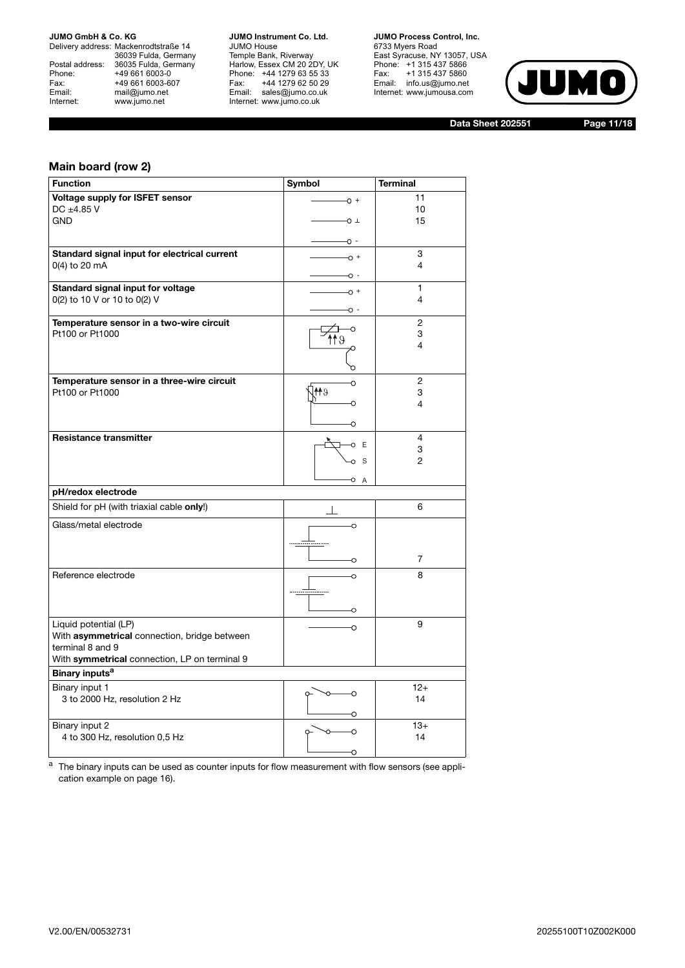Delivery address: Mackenrodtstraße 14 36039 Fulda, Germany Postal address: 36035 Fulda, Germany Postal address: 36035 Fulda, Ge<br>
Phone: +49 661 6003-0<br>
Fax: +49 661 6003-6<br>
Email: mail@jumo.net +49 661 6003-607 mail@jumo.net Internet: www.jumo.net

**JUMO Instrument Co. Ltd.** JUMO House Temple Bank, Riverway Harlow, Essex CM 20 2DY, UK Phone: +44 1279 63 55 33 Fax: +44 1279 62 50 29 Email: sales@jumo.co.uk Internet: www.jumo.co.uk

**JUMO Process Control, Inc.** 6733 Myers Road East Syracuse, NY 13057, USA Phone: +1 315 437 5866 Fax: +1 315 437 5860 Email: info.us@jumo.net Internet: www.jumousa.com



**Data Sheet 202551 Page 11/18**

## **Main board (row 2)**

| <b>Function</b>                                                   | <b>Symbol</b> | <b>Terminal</b> |
|-------------------------------------------------------------------|---------------|-----------------|
| Voltage supply for ISFET sensor                                   | $-0 +$        | 11              |
| DC $\pm 4.85$ V                                                   |               | 10              |
| <b>GND</b>                                                        | −O ⊥          | 15              |
|                                                                   | - 0           |                 |
| Standard signal input for electrical current                      | $\sim$ +      | 3               |
| 0(4) to 20 mA                                                     | - O-          | $\overline{4}$  |
| Standard signal input for voltage                                 | $\sim$ +      | 1               |
| 0(2) to 10 V or 10 to 0(2) V                                      |               | 4               |
| Temperature sensor in a two-wire circuit                          | - O           | $\overline{2}$  |
| Pt100 or Pt1000                                                   | O             | 3               |
|                                                                   |               | 4               |
|                                                                   |               |                 |
| Temperature sensor in a three-wire circuit                        | O             | 2               |
| Pt100 or Pt1000                                                   | $e$ 11        | 3               |
|                                                                   | ∩             | 4               |
|                                                                   | O             |                 |
| <b>Resistance transmitter</b>                                     | E<br>O        | $\overline{4}$  |
|                                                                   | S<br>$\Omega$ | 3<br>2          |
|                                                                   |               |                 |
|                                                                   | O<br>A        |                 |
| pH/redox electrode                                                |               |                 |
| Shield for pH (with triaxial cable only!)                         |               | 6               |
| Glass/metal electrode                                             | C             |                 |
|                                                                   |               |                 |
|                                                                   | O             | 7               |
| Reference electrode                                               | $\Omega$      | 8               |
|                                                                   |               |                 |
|                                                                   | O             |                 |
| Liquid potential (LP)                                             | ∩             | 9               |
| With asymmetrical connection, bridge between                      |               |                 |
| terminal 8 and 9<br>With symmetrical connection, LP on terminal 9 |               |                 |
| Binary inputs <sup>a</sup>                                        |               |                 |
| Binary input 1                                                    |               | $12+$           |
| 3 to 2000 Hz, resolution 2 Hz                                     |               | 14              |
|                                                                   |               |                 |
| Binary input 2                                                    |               | $13+$           |
| 4 to 300 Hz, resolution 0,5 Hz                                    |               | 14              |

a The binary inputs can be used as counter inputs for flow measurement with flow sensors (see application example on [page 16](#page-15-0)).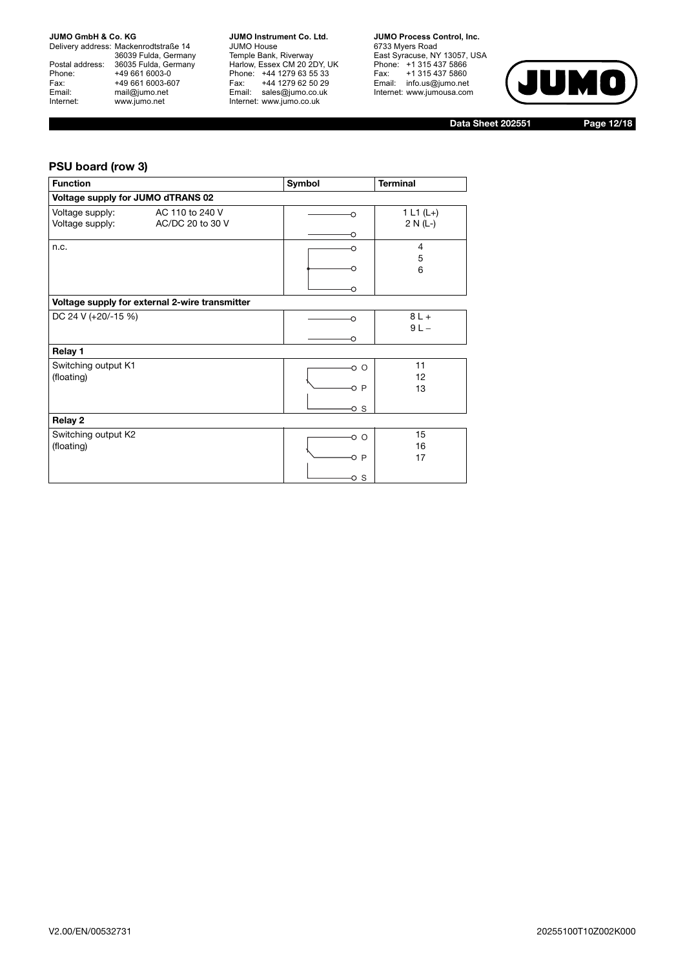Delivery address: Mackenrodtstraße 14 36039 Fulda, Germany Postal address: 36035 Fulda, Germany Phone: +49 661 6003-0<br>
Fax: +49 661 6003-6<br>
Email: mail@jumo.net +49 661 6003-607 mail@jumo.net Internet: www.jumo.net

**JUMO Instrument Co. Ltd.** JUMO House Temple Bank, Riverway Harlow, Essex CM 20 2DY, UK Phone: +44 1279 63 55 33 Fax: +44 1279 62 50 29 Email: sales@jumo.co.uk Internet: www.jumo.co.uk

**JUMO Process Control, Inc.** 6733 Myers Road East Syracuse, NY 13057, USA Phone: +1 315 437 5866 Fax: +1 315 437 5860 Email: info.us@jumo.net Internet: www.jumousa.com



**Data Sheet 202551 Page 12/18**

## **PSU board (row 3)**

| <b>Function</b>                                                           | Symbol             | <b>Terminal</b>           |
|---------------------------------------------------------------------------|--------------------|---------------------------|
| Voltage supply for JUMO dTRANS 02                                         |                    |                           |
| Voltage supply:<br>AC 110 to 240 V<br>Voltage supply:<br>AC/DC 20 to 30 V | ∩<br>O             | 1 L1 $(L+)$<br>$2 N (L-)$ |
| n.c.                                                                      | ∩<br>∩             | $\overline{4}$<br>5<br>6  |
| Voltage supply for external 2-wire transmitter                            |                    |                           |
| DC 24 V (+20/-15 %)                                                       | ∩<br>∩             | $8L +$<br>$9L -$          |
| Relay 1                                                                   |                    |                           |
| Switching output K1<br>(floating)                                         | o o<br>oр<br>o s   | 11<br>12<br>13            |
| Relay 2                                                                   |                    |                           |
| Switching output K2<br>(floating)                                         | -0 O<br>OР<br>-o s | 15<br>16<br>17            |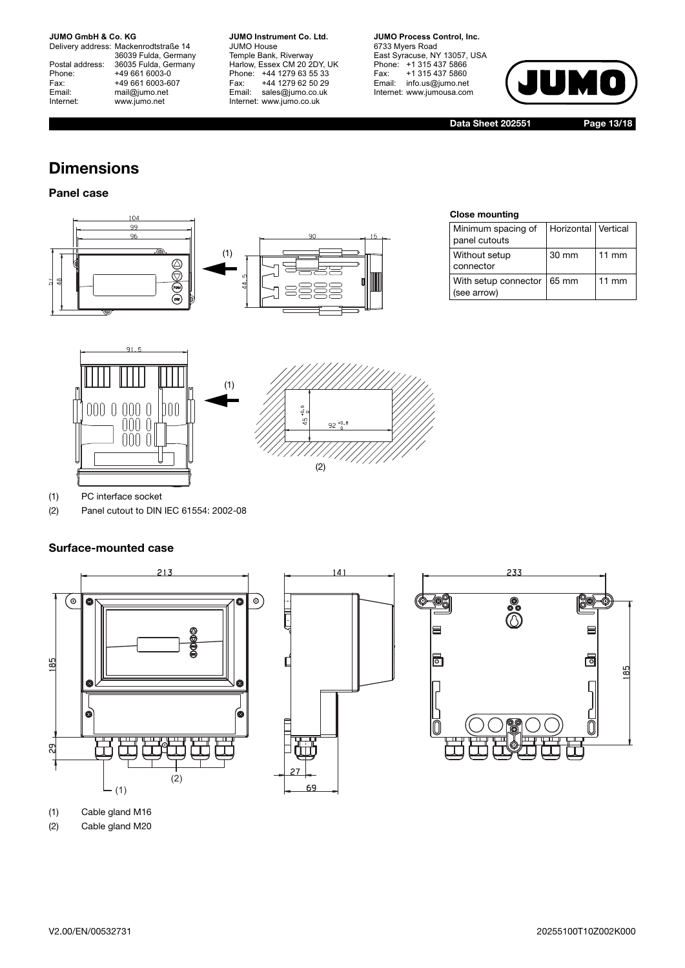Delivery address: Mackenrodtstraße 14 36039 Fulda, Germany Postal address: 36035 Fulda, Germany Postal address: 36035 Fulda, Ge<br>Phone: +49 661 6003-0 Fax: +49 661 6003-607<br>Email: mail@jumo.net mail@jumo.net Internet: www.jumo.net

**JUMO Instrument Co. Ltd.** JUMO House Temple Bank, Riverway Harlow, Essex CM 20 2DY, UK Phone: +44 1279 63 55 33 Fax: +44 1279 62 50 29 Email: sales@jumo.co.uk Internet: www.jumo.co.uk

**JUMO Process Control, Inc.** 6733 Myers Road East Syracuse, NY 13057, USA Phone: +1 315 437 5866 Fax: +1 315 437 5860 Email: info.us@jumo.net Internet: www.jumousa.com



**Data Sheet 202551 Page 13/18**

## **Dimensions**

## **Panel case**



#### **Close mounting**

| Minimum spacing of<br>panel cutouts         | Horizontal Vertical |                 |
|---------------------------------------------|---------------------|-----------------|
| Without setup<br>connector                  | 30 mm               | $11 \text{ mm}$ |
| With setup connector   65 mm<br>(see arrow) |                     | $11 \text{ mm}$ |



(1) PC interface socket

(2) Panel cutout to DIN IEC 61554: 2002-08

## **Surface-mounted case**



(1) Cable gland M16

(2) Cable gland M20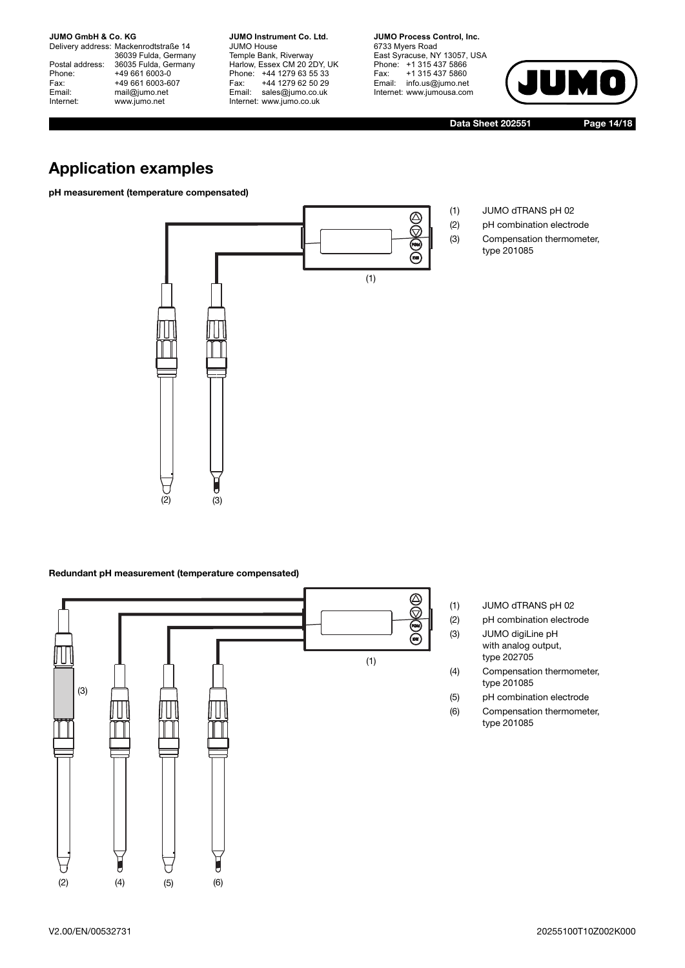Delivery address: Mackenrodtstraße 14 36039 Fulda, Germany Postal address: 36035 Fulda, Germany Postal address: 36035 Fulda, Ge<br>
Phone: +49 661 6003-0<br>
Fax: +49 661 6003-6<br>
Email: mail@jumo.net +49 661 6003-607 mail@jumo.net Internet: www.jumo.net

**JUMO Instrument Co. Ltd.** JUMO House Temple Bank, Riverway Harlow, Essex CM 20 2DY, UK Phone: +44 1279 63 55 33 Fax: +44 1279 62 50 29 Email: sales@jumo.co.uk Internet: www.jumo.co.uk

**JUMO Process Control, Inc.** 6733 Myers Road East Syracuse, NY 13057, USA Phone: +1 315 437 5866 Fax: +1 315 437 5860 Email: info.us@jumo.net Internet: www.jumousa.com



**Data Sheet 202551 Page 14/18**

type 201085

## **Application examples**

**pH measurement (temperature compensated)**



#### **Redundant pH measurement (temperature compensated)**



- (1) JUMO dTRANS pH 02
- (2) pH combination electrode (3) JUMO digiLine pH with analog output,
	- type 202705
- (4) Compensation thermometer, type 201085
- (5) pH combination electrode
- (6) Compensation thermometer, type 201085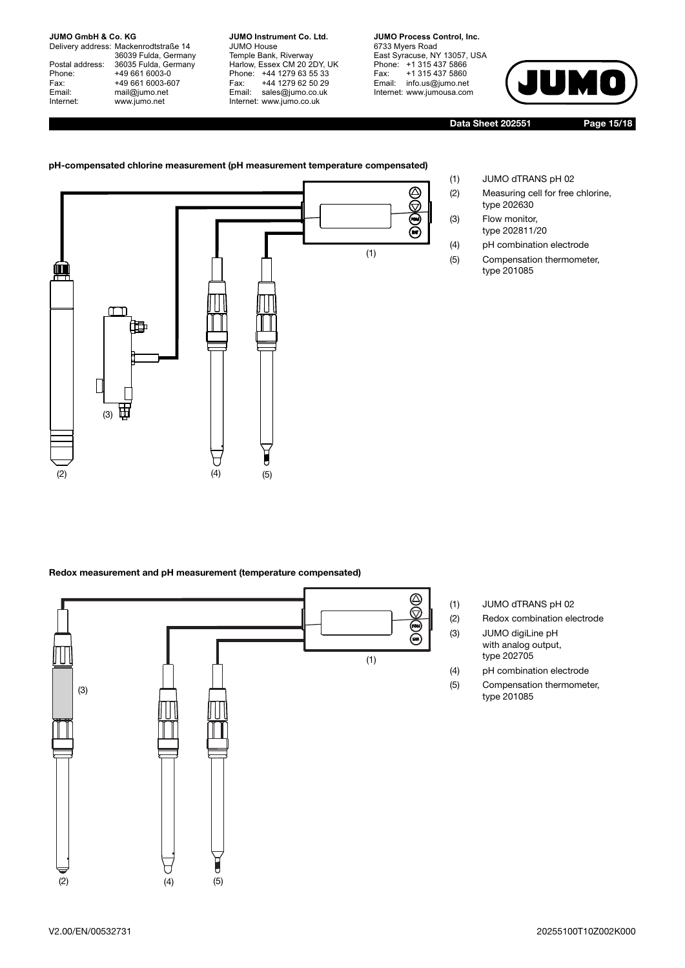Delivery address: Mackenrodtstraße 14 36039 Fulda, Germany Postal address: 36035 Fulda, Germany Postal address: 36035 Fulda, Ge<br>Phone: +49 661 6003-0 Fax: +49 661 6003-607<br>Email: mail@jumo.net mail@jumo.net Internet: www.jumo.net

**JUMO Instrument Co. Ltd.** JUMO House Temple Bank, Riverway Harlow, Essex CM 20 2DY, UK Phone: +44 1279 63 55 33 Fax: +44 1279 62 50 29 Email: sales@jumo.co.uk Internet: www.jumo.co.uk

**JUMO Process Control, Inc.** 6733 Myers Road East Syracuse, NY 13057, USA Phone: +1 315 437 5866 Fax: +1 315 437 5860 Email: info.us@jumo.net Internet: www.jumousa.com



**Data Sheet 202551 Page 15/18**

## **pH-compensated chlorine measurement (pH measurement temperature compensated)**



## **Redox measurement and pH measurement (temperature compensated)**



- (1) JUMO dTRANS pH 02
- (2) Measuring cell for free chlorine, type 202630
- (3) Flow monitor, type 202811/20
- (4) pH combination electrode
- (5) Compensation thermometer, type 201085

- 
- (1) JUMO dTRANS pH 02 (2) Redox combination electrode (3) JUMO digiLine pH with analog output,
	- type 202705
- (4) pH combination electrode
- (5) Compensation thermometer, type 201085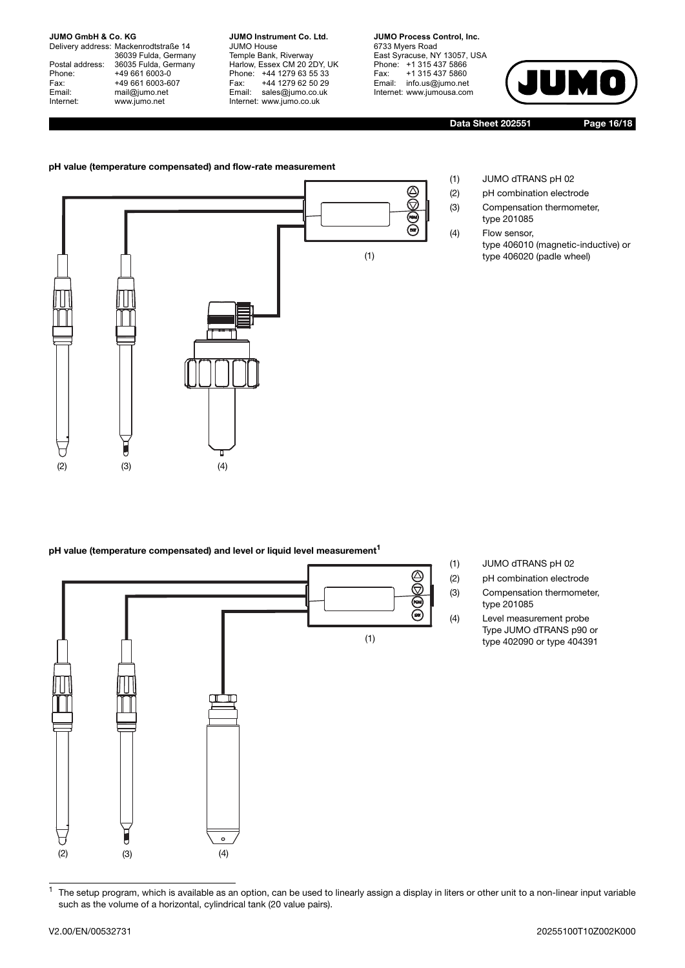Delivery address: Mackenrodtstraße 14 36039 Fulda, Germany Postal address: 36035 Fulda, Germany Phone: +49 661 6003-0 Fax: +49 661 6003-607<br>Email: mail@jumo.net mail@jumo.net Internet: www.jumo.net

**JUMO Instrument Co. Ltd.** JUMO House Temple Bank, Riverway Harlow, Essex CM 20 2DY, UK Phone: +44 1279 63 55 33 Fax: +44 1279 62 50 29 Email: sales@jumo.co.uk Internet: www.jumo.co.uk

**JUMO Process Control, Inc.** 6733 Myers Road East Syracuse, NY 13057, USA Phone: +1 315 437 5866 Fax: +1 315 437 5860 Email: info.us@jumo.net Internet: www.jumousa.com



type 406010 (magnetic-inductive) or

type 406020 (padle wheel)

**Data Sheet 202551 Page 16/18**

(1) JUMO dTRANS pH 02 (2) pH combination electrode (3) Compensation thermometer, type 201085 (4) Flow sensor,

#### <span id="page-15-0"></span>**pH value (temperature compensated) and flow-rate measurement**



#### **pH value (temperature compensated) and level or liquid level measurement<sup>1</sup>**



- (1) JUMO dTRANS pH 02
- (2) pH combination electrode
- (3) Compensation thermometer, type 201085
- (4) Level measurement probe Type JUMO dTRANS p90 or type 402090 or type 404391

 $1$  The setup program, which is available as an option, can be used to linearly assign a display in liters or other unit to a non-linear input variable such as the volume of a horizontal, cylindrical tank (20 value pairs).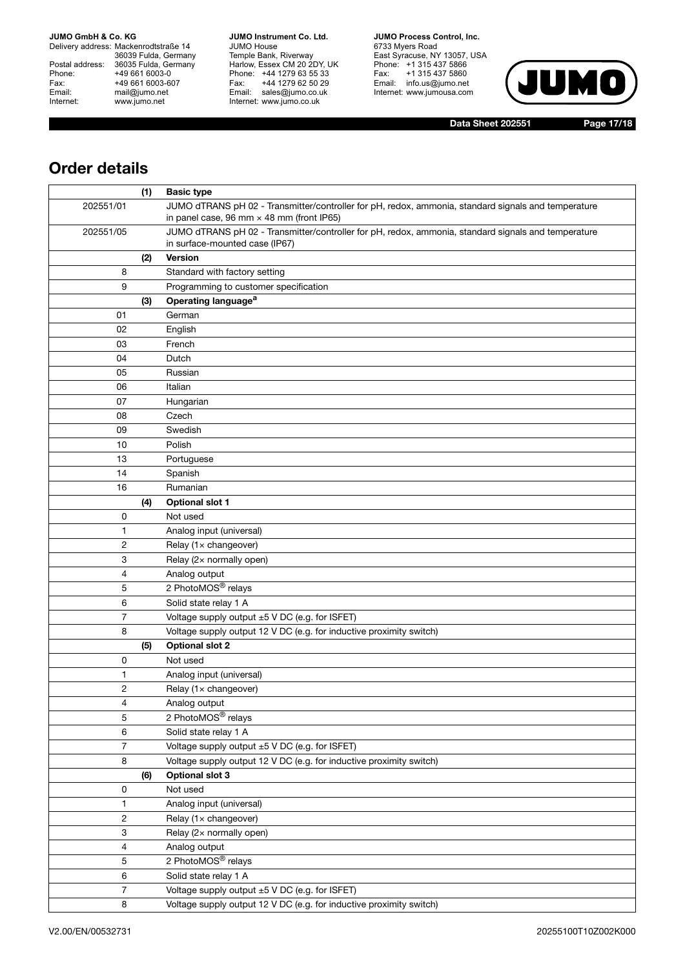Delivery address: Mackenrodtstraße 14 36039 Fulda, Germany Postal address: 36035 Fulda, Germany Phone: +49 661 6003-0<br>
Fax: +49 661 6003-6<br>
Email: mail@jumo.net +49 661 6003-607 mail@jumo.net Internet: www.jumo.net

**JUMO Instrument Co. Ltd.** JUMO House Temple Bank, Riverway Harlow, Essex CM 20 2DY, UK Phone: +44 1279 63 55 33 Fax: +44 1279 62 50 29 Email: sales@jumo.co.uk Internet: www.jumo.co.uk

**JUMO Process Control, Inc.** 6733 Myers Road East Syracuse, NY 13057, USA Phone: +1 315 437 5866 Fax: +1 315 437 5860 Email: info.us@jumo.net Internet: www.jumousa.com



**Data Sheet 202551 Page 17/18**

## **Order details**

|                | (1) | <b>Basic type</b>                                                                                                                                       |
|----------------|-----|---------------------------------------------------------------------------------------------------------------------------------------------------------|
| 202551/01      |     | JUMO dTRANS pH 02 - Transmitter/controller for pH, redox, ammonia, standard signals and temperature<br>in panel case, 96 mm $\times$ 48 mm (front IP65) |
| 202551/05      |     | JUMO dTRANS pH 02 - Transmitter/controller for pH, redox, ammonia, standard signals and temperature<br>in surface-mounted case (IP67)                   |
|                | (2) | Version                                                                                                                                                 |
| 8              |     | Standard with factory setting                                                                                                                           |
| 9              |     | Programming to customer specification                                                                                                                   |
|                | (3) | Operating language <sup>a</sup>                                                                                                                         |
| 01             |     | German                                                                                                                                                  |
| 02             |     | English                                                                                                                                                 |
| 03             |     | French                                                                                                                                                  |
| 04             |     | Dutch                                                                                                                                                   |
| 05             |     | Russian                                                                                                                                                 |
| 06             |     | Italian                                                                                                                                                 |
| 07             |     | Hungarian                                                                                                                                               |
| 08             |     | Czech                                                                                                                                                   |
| 09             |     | Swedish                                                                                                                                                 |
| 10             |     | Polish                                                                                                                                                  |
| 13             |     | Portuguese                                                                                                                                              |
| 14             |     | Spanish                                                                                                                                                 |
| 16             |     | Rumanian                                                                                                                                                |
|                | (4) | <b>Optional slot 1</b>                                                                                                                                  |
| 0              |     | Not used                                                                                                                                                |
| 1              |     | Analog input (universal)                                                                                                                                |
| 2              |     | Relay (1x changeover)                                                                                                                                   |
| 3              |     | Relay (2x normally open)                                                                                                                                |
| 4              |     | Analog output                                                                                                                                           |
| 5              |     | 2 PhotoMOS® relays                                                                                                                                      |
| 6              |     | Solid state relay 1 A                                                                                                                                   |
| 7              |     | Voltage supply output ±5 V DC (e.g. for ISFET)                                                                                                          |
| 8              |     | Voltage supply output 12 V DC (e.g. for inductive proximity switch)                                                                                     |
|                | (5) | <b>Optional slot 2</b>                                                                                                                                  |
| 0              |     | Not used                                                                                                                                                |
| 1              |     | Analog input (universal)                                                                                                                                |
| $\overline{c}$ |     | Relay (1x changeover)                                                                                                                                   |
| 4              |     | Analog output                                                                                                                                           |
| 5              |     | 2 PhotoMOS <sup>®</sup> relays                                                                                                                          |
| 6              |     | Solid state relay 1 A                                                                                                                                   |
| 7              |     | Voltage supply output ±5 V DC (e.g. for ISFET)                                                                                                          |
| 8              |     | Voltage supply output 12 V DC (e.g. for inductive proximity switch)                                                                                     |
|                | (6) | <b>Optional slot 3</b>                                                                                                                                  |
| 0              |     | Not used                                                                                                                                                |
| 1              |     | Analog input (universal)                                                                                                                                |
| 2              |     | Relay (1x changeover)                                                                                                                                   |
| 3              |     | Relay (2x normally open)                                                                                                                                |
| 4              |     | Analog output                                                                                                                                           |
| 5              |     | 2 PhotoMOS <sup>®</sup> relays                                                                                                                          |
| 6              |     | Solid state relay 1 A                                                                                                                                   |
| 7              |     | Voltage supply output ±5 V DC (e.g. for ISFET)                                                                                                          |
| 8              |     | Voltage supply output 12 V DC (e.g. for inductive proximity switch)                                                                                     |